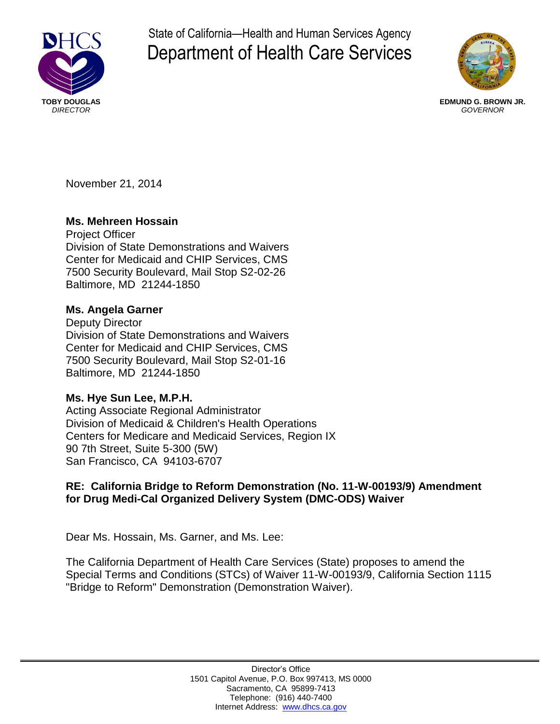

State of California—Health and Human Services Agency Department of Health Care Services



 **TOBY DOUGLAS EDMUND G. BROWN JR.**  *DIRECTOR GOVERNOR* 

November 21, 2014

# **Ms. Mehreen Hossain**

Project Officer Division of State Demonstrations and Waivers Center for Medicaid and CHIP Services, CMS 7500 Security Boulevard, Mail Stop S2-02-26 Baltimore, MD 21244-1850

## **Ms. Angela Garner**

Deputy Director Division of State Demonstrations and Waivers Center for Medicaid and CHIP Services, CMS 7500 Security Boulevard, Mail Stop S2-01-16 Baltimore, MD 21244-1850

## **Ms. Hye Sun Lee, M.P.H.**

Acting Associate Regional Administrator Division of Medicaid & Children's Health Operations Centers for Medicare and Medicaid Services, Region IX 90 7th Street, Suite 5-300 (5W) San Francisco, CA 94103-6707

# **RE: California Bridge to Reform Demonstration (No. 11-W-00193/9) Amendment for Drug Medi-Cal Organized Delivery System (DMC-ODS) Waiver**

Dear Ms. Hossain, Ms. Garner, and Ms. Lee:

The California Department of Health Care Services (State) proposes to amend the Special Terms and Conditions (STCs) of Waiver 11-W-00193/9, California Section 1115 "Bridge to Reform" Demonstration (Demonstration Waiver).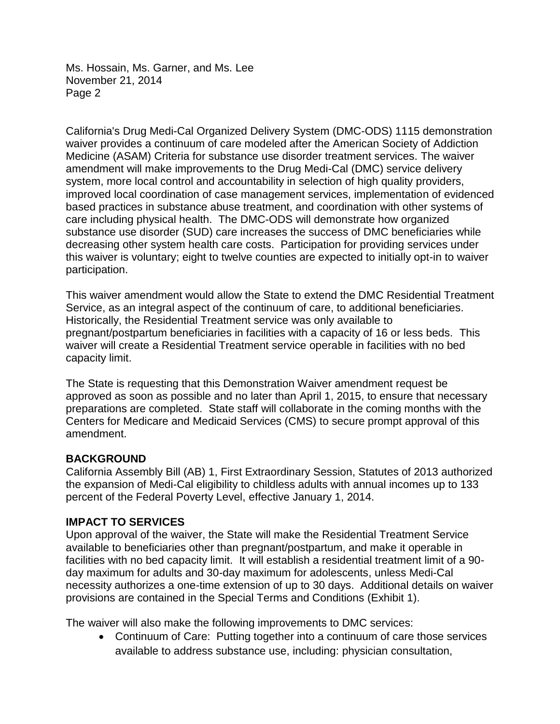California's Drug Medi-Cal Organized Delivery System (DMC-ODS) 1115 demonstration waiver provides a continuum of care modeled after the American Society of Addiction Medicine (ASAM) Criteria for substance use disorder treatment services. The waiver amendment will make improvements to the Drug Medi-Cal (DMC) service delivery system, more local control and accountability in selection of high quality providers, improved local coordination of case management services, implementation of evidenced based practices in substance abuse treatment, and coordination with other systems of care including physical health. The DMC-ODS will demonstrate how organized substance use disorder (SUD) care increases the success of DMC beneficiaries while decreasing other system health care costs. Participation for providing services under this waiver is voluntary; eight to twelve counties are expected to initially opt-in to waiver participation.

This waiver amendment would allow the State to extend the DMC Residential Treatment Service, as an integral aspect of the continuum of care, to additional beneficiaries. Historically, the Residential Treatment service was only available to pregnant/postpartum beneficiaries in facilities with a capacity of 16 or less beds. This waiver will create a Residential Treatment service operable in facilities with no bed capacity limit.

The State is requesting that this Demonstration Waiver amendment request be approved as soon as possible and no later than April 1, 2015, to ensure that necessary preparations are completed. State staff will collaborate in the coming months with the Centers for Medicare and Medicaid Services (CMS) to secure prompt approval of this amendment.

## **BACKGROUND**

California Assembly Bill (AB) 1, First Extraordinary Session, Statutes of 2013 authorized the expansion of Medi-Cal eligibility to childless adults with annual incomes up to 133 percent of the Federal Poverty Level, effective January 1, 2014.

## **IMPACT TO SERVICES**

Upon approval of the waiver, the State will make the Residential Treatment Service available to beneficiaries other than pregnant/postpartum, and make it operable in facilities with no bed capacity limit. It will establish a residential treatment limit of a 90 day maximum for adults and 30-day maximum for adolescents, unless Medi-Cal necessity authorizes a one-time extension of up to 30 days. Additional details on waiver provisions are contained in the Special Terms and Conditions (Exhibit 1).

The waiver will also make the following improvements to DMC services:

 Continuum of Care: Putting together into a continuum of care those services available to address substance use, including: physician consultation,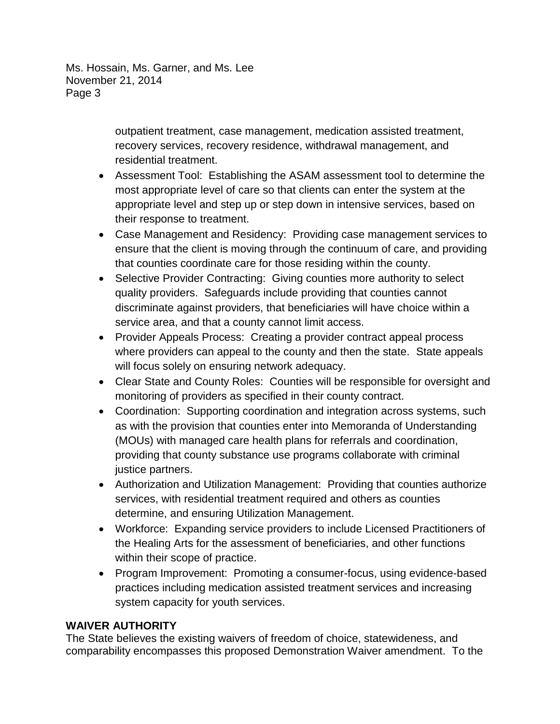> outpatient treatment, case management, medication assisted treatment, recovery services, recovery residence, withdrawal management, and residential treatment.

- Assessment Tool: Establishing the ASAM assessment tool to determine the most appropriate level of care so that clients can enter the system at the appropriate level and step up or step down in intensive services, based on their response to treatment.
- Case Management and Residency: Providing case management services to ensure that the client is moving through the continuum of care, and providing that counties coordinate care for those residing within the county.
- Selective Provider Contracting: Giving counties more authority to select quality providers. Safeguards include providing that counties cannot discriminate against providers, that beneficiaries will have choice within a service area, and that a county cannot limit access.
- Provider Appeals Process: Creating a provider contract appeal process where providers can appeal to the county and then the state. State appeals will focus solely on ensuring network adequacy.
- Clear State and County Roles: Counties will be responsible for oversight and monitoring of providers as specified in their county contract.
- Coordination: Supporting coordination and integration across systems, such as with the provision that counties enter into Memoranda of Understanding (MOUs) with managed care health plans for referrals and coordination, providing that county substance use programs collaborate with criminal justice partners.
- Authorization and Utilization Management: Providing that counties authorize services, with residential treatment required and others as counties determine, and ensuring Utilization Management.
- Workforce: Expanding service providers to include Licensed Practitioners of the Healing Arts for the assessment of beneficiaries, and other functions within their scope of practice.
- Program Improvement: Promoting a consumer-focus, using evidence-based practices including medication assisted treatment services and increasing system capacity for youth services.

# **WAIVER AUTHORITY**

The State believes the existing waivers of freedom of choice, statewideness, and comparability encompasses this proposed Demonstration Waiver amendment. To the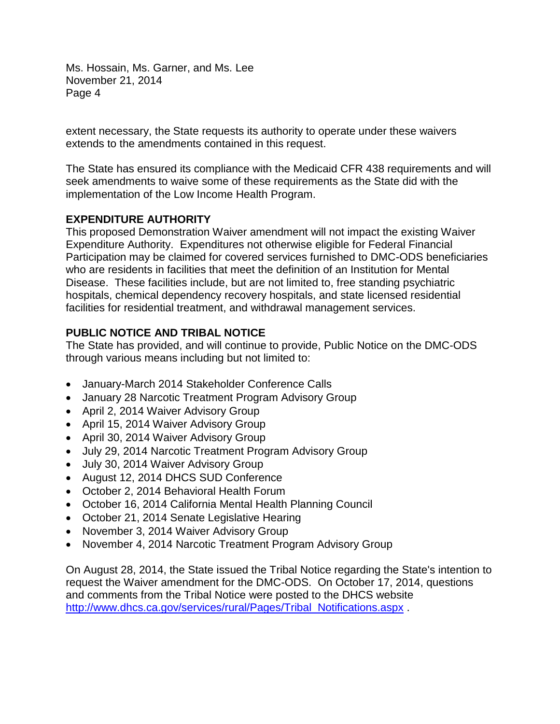extent necessary, the State requests its authority to operate under these waivers extends to the amendments contained in this request.

The State has ensured its compliance with the Medicaid CFR 438 requirements and will seek amendments to waive some of these requirements as the State did with the implementation of the Low Income Health Program.

# **EXPENDITURE AUTHORITY**

This proposed Demonstration Waiver amendment will not impact the existing Waiver Expenditure Authority. Expenditures not otherwise eligible for Federal Financial Participation may be claimed for covered services furnished to DMC-ODS beneficiaries who are residents in facilities that meet the definition of an Institution for Mental Disease. These facilities include, but are not limited to, free standing psychiatric hospitals, chemical dependency recovery hospitals, and state licensed residential facilities for residential treatment, and withdrawal management services.

# **PUBLIC NOTICE AND TRIBAL NOTICE**

The State has provided, and will continue to provide, Public Notice on the DMC-ODS through various means including but not limited to:

- January-March 2014 Stakeholder Conference Calls
- January 28 Narcotic Treatment Program Advisory Group
- April 2, 2014 Waiver Advisory Group
- April 15, 2014 Waiver Advisory Group
- April 30, 2014 Waiver Advisory Group
- July 29, 2014 Narcotic Treatment Program Advisory Group
- July 30, 2014 Waiver Advisory Group
- August 12, 2014 DHCS SUD Conference
- October 2, 2014 Behavioral Health Forum
- October 16, 2014 California Mental Health Planning Council
- October 21, 2014 Senate Legislative Hearing
- November 3, 2014 Waiver Advisory Group
- November 4, 2014 Narcotic Treatment Program Advisory Group

On August 28, 2014, the State issued the Tribal Notice regarding the State's intention to request the Waiver amendment for the DMC-ODS. On October 17, 2014, questions and comments from the Tribal Notice were posted to the DHCS website http://www.dhcs.ca.gov/services/rural/Pages/Tribal\_Notifications.aspx.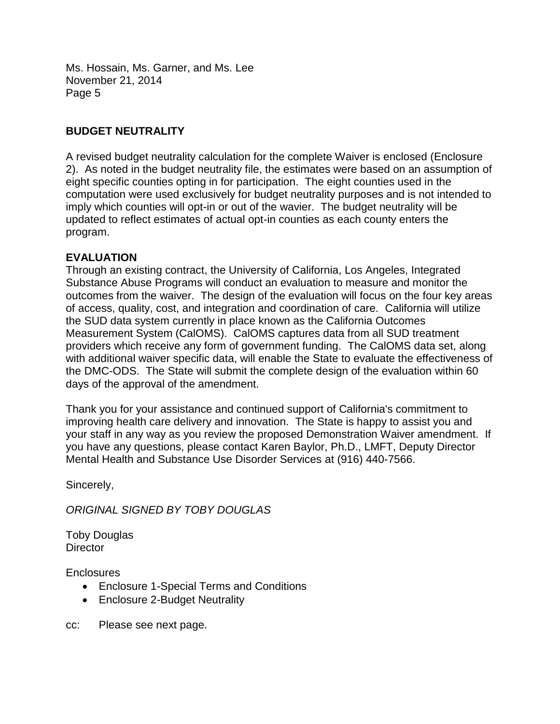## **BUDGET NEUTRALITY**

A revised budget neutrality calculation for the complete Waiver is enclosed (Enclosure 2). As noted in the budget neutrality file, the estimates were based on an assumption of eight specific counties opting in for participation. The eight counties used in the computation were used exclusively for budget neutrality purposes and is not intended to imply which counties will opt-in or out of the wavier. The budget neutrality will be updated to reflect estimates of actual opt-in counties as each county enters the program.

## **EVALUATION**

Through an existing contract, the University of California, Los Angeles, Integrated Substance Abuse Programs will conduct an evaluation to measure and monitor the outcomes from the waiver. The design of the evaluation will focus on the four key areas of access, quality, cost, and integration and coordination of care. California will utilize the SUD data system currently in place known as the California Outcomes Measurement System (CalOMS). CalOMS captures data from all SUD treatment providers which receive any form of government funding. The CalOMS data set, along with additional waiver specific data, will enable the State to evaluate the effectiveness of the DMC-ODS. The State will submit the complete design of the evaluation within 60 days of the approval of the amendment.

Thank you for your assistance and continued support of California's commitment to improving health care delivery and innovation. The State is happy to assist you and your staff in any way as you review the proposed Demonstration Waiver amendment. If you have any questions, please contact Karen Baylor, Ph.D., LMFT, Deputy Director Mental Health and Substance Use Disorder Services at (916) 440-7566.

Sincerely,

*ORIGINAL SIGNED BY TOBY DOUGLAS* 

Toby Douglas **Director** 

**Enclosures** 

- Enclosure 1-Special Terms and Conditions
- Enclosure 2-Budget Neutrality

cc: Please see next page.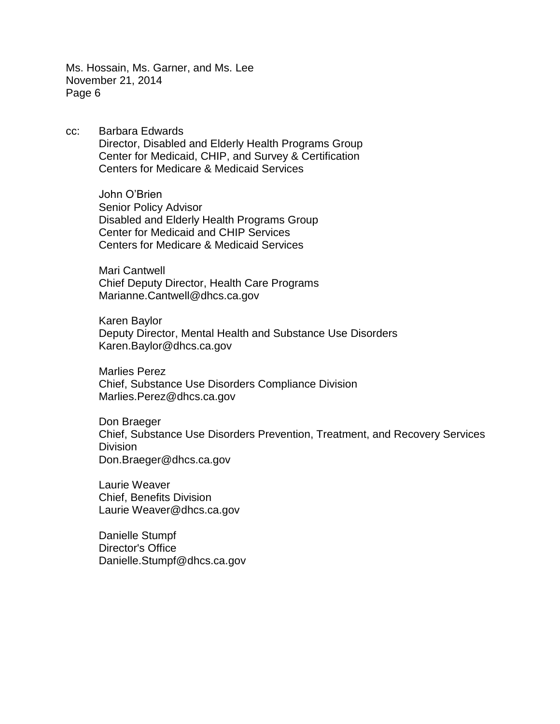cc: Barbara Edwards Director, Disabled and Elderly Health Programs Group Center for Medicaid, CHIP, and Survey & Certification Centers for Medicare & Medicaid Services

> John O'Brien Senior Policy Advisor Disabled and Elderly Health Programs Group Center for Medicaid and CHIP Services Centers for Medicare & Medicaid Services

> Mari Cantwell Chief Deputy Director, Health Care Programs Marianne.Cantwell@dhcs.ca.gov

Karen Baylor Deputy Director, Mental Health and Substance Use Disorders Karen.Baylor@dhcs.ca.gov

Marlies Perez Chief, Substance Use Disorders Compliance Division Marlies.Perez@dhcs.ca.gov

Don Braeger Chief, Substance Use Disorders Prevention, Treatment, and Recovery Services **Division** Don.Braeger@dhcs.ca.gov

Laurie Weaver Chief, Benefits Division Laurie Weaver@dhcs.ca.gov

Danielle Stumpf Director's Office Danielle.Stumpf@dhcs.ca.gov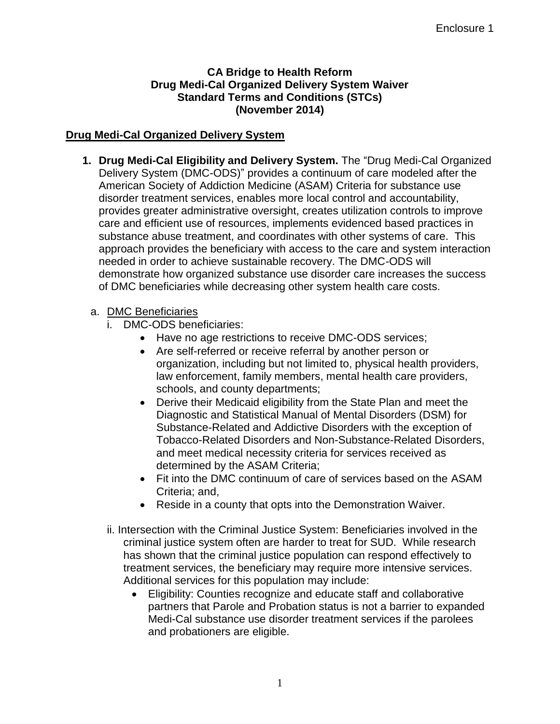## **CA Bridge to Health Reform Drug Medi-Cal Organized Delivery System Waiver Standard Terms and Conditions (STCs) (November 2014)**

## **Drug Medi-Cal Organized Delivery System**

**1. Drug Medi-Cal Eligibility and Delivery System.** The "Drug Medi-Cal Organized Delivery System (DMC-ODS)" provides a continuum of care modeled after the American Society of Addiction Medicine (ASAM) Criteria for substance use disorder treatment services, enables more local control and accountability, provides greater administrative oversight, creates utilization controls to improve care and efficient use of resources, implements evidenced based practices in substance abuse treatment, and coordinates with other systems of care. This approach provides the beneficiary with access to the care and system interaction needed in order to achieve sustainable recovery. The DMC-ODS will demonstrate how organized substance use disorder care increases the success of DMC beneficiaries while decreasing other system health care costs.

## a. DMC Beneficiaries

- DMC-ODS beneficiaries:
	- Have no age restrictions to receive DMC-ODS services:
	- Are self-referred or receive referral by another person or organization, including but not limited to, physical health providers, law enforcement, family members, mental health care providers, schools, and county departments;
	- Derive their Medicaid eligibility from the State Plan and meet the Diagnostic and Statistical Manual of Mental Disorders (DSM) for Substance-Related and Addictive Disorders with the exception of Tobacco-Related Disorders and Non-Substance-Related Disorders, and meet medical necessity criteria for services received as determined by the ASAM Criteria;
	- Fit into the DMC continuum of care of services based on the ASAM Criteria; and,
	- Reside in a county that opts into the Demonstration Waiver.
- ii. Intersection with the Criminal Justice System: Beneficiaries involved in the criminal justice system often are harder to treat for SUD. While research has shown that the criminal justice population can respond effectively to treatment services, the beneficiary may require more intensive services. Additional services for this population may include:
	- Eligibility: Counties recognize and educate staff and collaborative partners that Parole and Probation status is not a barrier to expanded Medi-Cal substance use disorder treatment services if the parolees and probationers are eligible.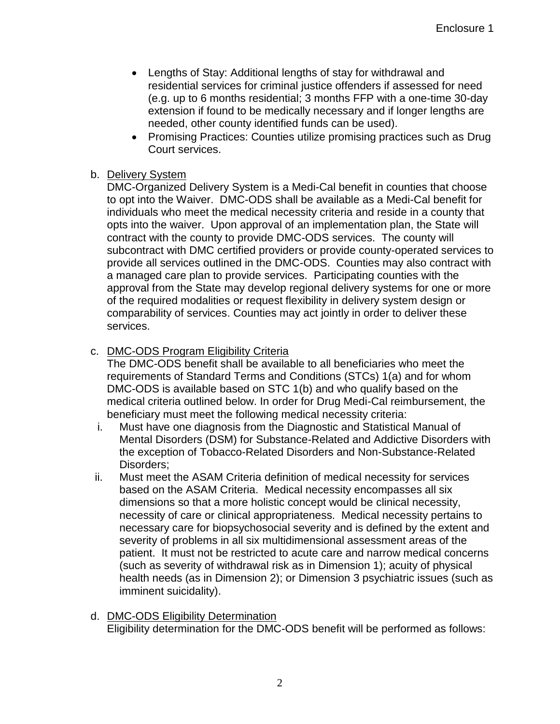- Lengths of Stay: Additional lengths of stay for withdrawal and residential services for criminal justice offenders if assessed for need (e.g. up to 6 months residential; 3 months FFP with a one-time 30-day extension if found to be medically necessary and if longer lengths are needed, other county identified funds can be used).
- Promising Practices: Counties utilize promising practices such as Drug Court services.

## b. Delivery System

DMC-Organized Delivery System is a Medi-Cal benefit in counties that choose to opt into the Waiver. DMC-ODS shall be available as a Medi-Cal benefit for individuals who meet the medical necessity criteria and reside in a county that opts into the waiver. Upon approval of an implementation plan, the State will contract with the county to provide DMC-ODS services. The county will subcontract with DMC certified providers or provide county-operated services to provide all services outlined in the DMC-ODS. Counties may also contract with a managed care plan to provide services. Participating counties with the approval from the State may develop regional delivery systems for one or more of the required modalities or request flexibility in delivery system design or comparability of services. Counties may act jointly in order to deliver these services.

## c. DMC-ODS Program Eligibility Criteria

The DMC-ODS benefit shall be available to all beneficiaries who meet the requirements of Standard Terms and Conditions (STCs) 1(a) and for whom DMC-ODS is available based on STC 1(b) and who qualify based on the medical criteria outlined below. In order for Drug Medi-Cal reimbursement, the beneficiary must meet the following medical necessity criteria:

- i. Must have one diagnosis from the Diagnostic and Statistical Manual of Mental Disorders (DSM) for Substance-Related and Addictive Disorders with the exception of Tobacco-Related Disorders and Non-Substance-Related Disorders;
- ii. Must meet the ASAM Criteria definition of medical necessity for services based on the ASAM Criteria. Medical necessity encompasses all six dimensions so that a more holistic concept would be clinical necessity, necessity of care or clinical appropriateness. Medical necessity pertains to necessary care for biopsychosocial severity and is defined by the extent and severity of problems in all six multidimensional assessment areas of the patient. It must not be restricted to acute care and narrow medical concerns (such as severity of withdrawal risk as in Dimension 1); acuity of physical health needs (as in Dimension 2); or Dimension 3 psychiatric issues (such as imminent suicidality).
- d. DMC-ODS Eligibility Determination Eligibility determination for the DMC-ODS benefit will be performed as follows: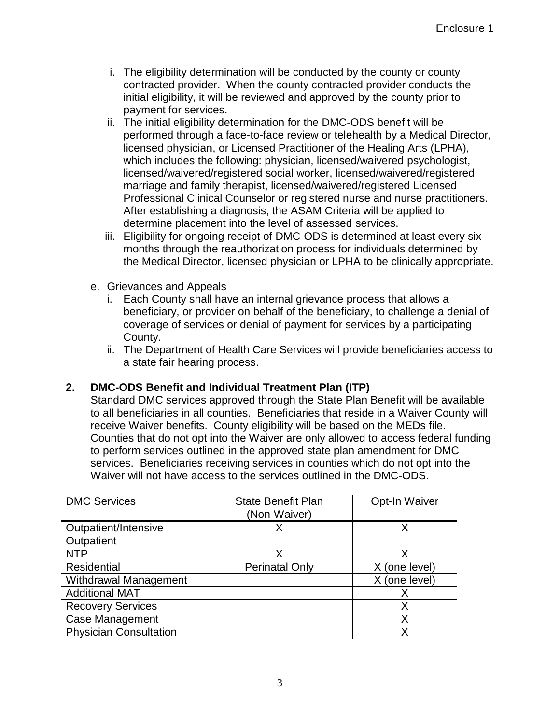- i. The eligibility determination will be conducted by the county or county contracted provider. When the county contracted provider conducts the initial eligibility, it will be reviewed and approved by the county prior to payment for services.
- ii. The initial eligibility determination for the DMC-ODS benefit will be performed through a face-to-face review or telehealth by a Medical Director, licensed physician, or Licensed Practitioner of the Healing Arts (LPHA), which includes the following: physician, licensed/waivered psychologist, licensed/waivered/registered social worker, licensed/waivered/registered marriage and family therapist, licensed/waivered/registered Licensed Professional Clinical Counselor or registered nurse and nurse practitioners. After establishing a diagnosis, the ASAM Criteria will be applied to determine placement into the level of assessed services.
- iii. Eligibility for ongoing receipt of DMC-ODS is determined at least every six months through the reauthorization process for individuals determined by the Medical Director, licensed physician or LPHA to be clinically appropriate.
- e. Grievances and Appeals
	- i. Each County shall have an internal grievance process that allows a beneficiary, or provider on behalf of the beneficiary, to challenge a denial of coverage of services or denial of payment for services by a participating County.
	- ii. The Department of Health Care Services will provide beneficiaries access to a state fair hearing process.

# **2. DMC-ODS Benefit and Individual Treatment Plan (ITP)**

Standard DMC services approved through the State Plan Benefit will be available to all beneficiaries in all counties. Beneficiaries that reside in a Waiver County will receive Waiver benefits. County eligibility will be based on the MEDs file. Counties that do not opt into the Waiver are only allowed to access federal funding to perform services outlined in the approved state plan amendment for DMC services. Beneficiaries receiving services in counties which do not opt into the Waiver will not have access to the services outlined in the DMC-ODS.

| <b>DMC Services</b>           | <b>State Benefit Plan</b><br>(Non-Waiver) | Opt-In Waiver |
|-------------------------------|-------------------------------------------|---------------|
| Outpatient/Intensive          |                                           |               |
| Outpatient                    |                                           |               |
| <b>NTP</b>                    |                                           | X             |
| Residential                   | <b>Perinatal Only</b>                     | X (one level) |
| <b>Withdrawal Management</b>  |                                           | X (one level) |
| <b>Additional MAT</b>         |                                           | Х             |
| <b>Recovery Services</b>      |                                           | Χ             |
| Case Management               |                                           | Χ             |
| <b>Physician Consultation</b> |                                           | Χ             |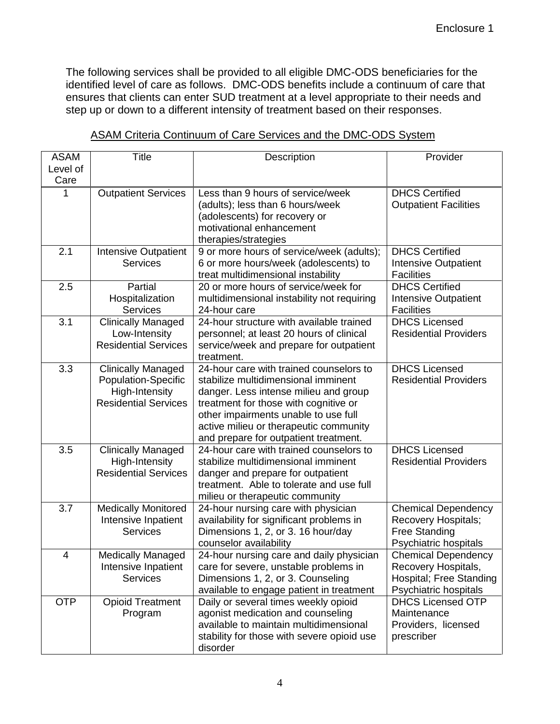The following services shall be provided to all eligible DMC-ODS beneficiaries for the identified level of care as follows. DMC-ODS benefits include a continuum of care that ensures that clients can enter SUD treatment at a level appropriate to their needs and step up or down to a different intensity of treatment based on their responses.

| <b>ASAM</b><br>Level of | <b>Title</b>                                                                                             | Description                                                                                                                                                                                                                                                                                 | Provider                                                                                              |
|-------------------------|----------------------------------------------------------------------------------------------------------|---------------------------------------------------------------------------------------------------------------------------------------------------------------------------------------------------------------------------------------------------------------------------------------------|-------------------------------------------------------------------------------------------------------|
| Care                    |                                                                                                          |                                                                                                                                                                                                                                                                                             |                                                                                                       |
| 1                       | <b>Outpatient Services</b>                                                                               | Less than 9 hours of service/week<br>(adults); less than 6 hours/week<br>(adolescents) for recovery or<br>motivational enhancement<br>therapies/strategies                                                                                                                                  | <b>DHCS Certified</b><br><b>Outpatient Facilities</b>                                                 |
| 2.1                     | <b>Intensive Outpatient</b><br><b>Services</b>                                                           | 9 or more hours of service/week (adults);<br>6 or more hours/week (adolescents) to<br>treat multidimensional instability                                                                                                                                                                    | <b>DHCS Certified</b><br><b>Intensive Outpatient</b><br><b>Facilities</b>                             |
| 2.5                     | Partial<br>Hospitalization<br><b>Services</b>                                                            | 20 or more hours of service/week for<br>multidimensional instability not requiring<br>24-hour care                                                                                                                                                                                          | <b>DHCS Certified</b><br><b>Intensive Outpatient</b><br><b>Facilities</b>                             |
| 3.1                     | <b>Clinically Managed</b><br>Low-Intensity<br><b>Residential Services</b>                                | 24-hour structure with available trained<br>personnel; at least 20 hours of clinical<br>service/week and prepare for outpatient<br>treatment.                                                                                                                                               | <b>DHCS Licensed</b><br><b>Residential Providers</b>                                                  |
| 3.3                     | <b>Clinically Managed</b><br><b>Population-Specific</b><br>High-Intensity<br><b>Residential Services</b> | 24-hour care with trained counselors to<br>stabilize multidimensional imminent<br>danger. Less intense milieu and group<br>treatment for those with cognitive or<br>other impairments unable to use full<br>active milieu or therapeutic community<br>and prepare for outpatient treatment. | <b>DHCS Licensed</b><br><b>Residential Providers</b>                                                  |
| 3.5                     | <b>Clinically Managed</b><br>High-Intensity<br><b>Residential Services</b>                               | 24-hour care with trained counselors to<br>stabilize multidimensional imminent<br>danger and prepare for outpatient<br>treatment. Able to tolerate and use full<br>milieu or therapeutic community                                                                                          | <b>DHCS Licensed</b><br><b>Residential Providers</b>                                                  |
| 3.7                     | <b>Medically Monitored</b><br>Intensive Inpatient<br><b>Services</b>                                     | 24-hour nursing care with physician<br>availability for significant problems in<br>Dimensions 1, 2, or 3. 16 hour/day<br>counselor availability                                                                                                                                             | <b>Chemical Dependency</b><br>Recovery Hospitals;<br><b>Free Standing</b><br>Psychiatric hospitals    |
| 4                       | <b>Medically Managed</b><br>Intensive Inpatient<br><b>Services</b>                                       | 24-hour nursing care and daily physician<br>care for severe, unstable problems in<br>Dimensions 1, 2, or 3. Counseling<br>available to engage patient in treatment                                                                                                                          | <b>Chemical Dependency</b><br>Recovery Hospitals,<br>Hospital; Free Standing<br>Psychiatric hospitals |
| <b>OTP</b>              | <b>Opioid Treatment</b><br>Program                                                                       | Daily or several times weekly opioid<br>agonist medication and counseling<br>available to maintain multidimensional<br>stability for those with severe opioid use<br>disorder                                                                                                               | <b>DHCS Licensed OTP</b><br>Maintenance<br>Providers, licensed<br>prescriber                          |

## ASAM Criteria Continuum of Care Services and the DMC-ODS System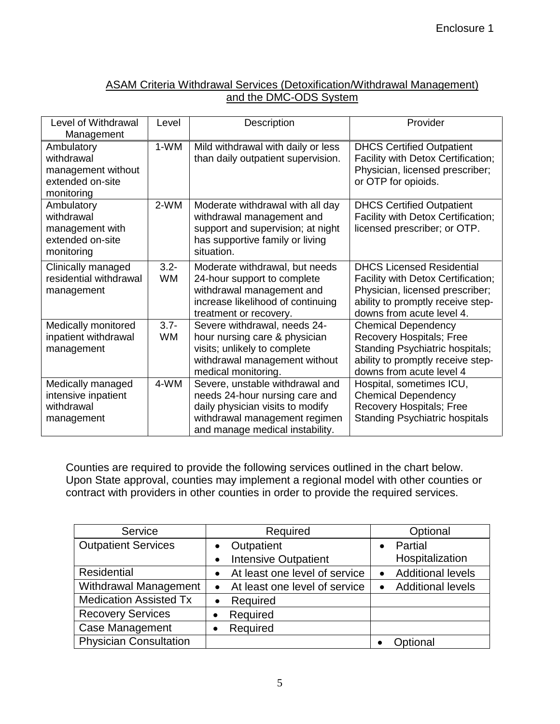# ASAM Criteria Withdrawal Services (Detoxification/Withdrawal Management) and the DMC-ODS System

| Level of Withdrawal<br>Management                                                | Level                | Description                                                                                                                                                               | Provider                                                                                                                                                                    |
|----------------------------------------------------------------------------------|----------------------|---------------------------------------------------------------------------------------------------------------------------------------------------------------------------|-----------------------------------------------------------------------------------------------------------------------------------------------------------------------------|
| Ambulatory<br>withdrawal<br>management without<br>extended on-site<br>monitoring | 1-WM                 | Mild withdrawal with daily or less<br>than daily outpatient supervision.                                                                                                  | <b>DHCS Certified Outpatient</b><br>Facility with Detox Certification;<br>Physician, licensed prescriber;<br>or OTP for opioids.                                            |
| Ambulatory<br>withdrawal<br>management with<br>extended on-site<br>monitoring    | 2-WM                 | Moderate withdrawal with all day<br>withdrawal management and<br>support and supervision; at night<br>has supportive family or living<br>situation.                       | <b>DHCS Certified Outpatient</b><br>Facility with Detox Certification;<br>licensed prescriber; or OTP.                                                                      |
| Clinically managed<br>residential withdrawal<br>management                       | $3.2 -$<br><b>WM</b> | Moderate withdrawal, but needs<br>24-hour support to complete<br>withdrawal management and<br>increase likelihood of continuing<br>treatment or recovery.                 | <b>DHCS Licensed Residential</b><br>Facility with Detox Certification;<br>Physician, licensed prescriber;<br>ability to promptly receive step-<br>downs from acute level 4. |
| Medically monitored<br>inpatient withdrawal<br>management                        | $3.7 -$<br><b>WM</b> | Severe withdrawal, needs 24-<br>hour nursing care & physician<br>visits; unlikely to complete<br>withdrawal management without<br>medical monitoring.                     | <b>Chemical Dependency</b><br>Recovery Hospitals; Free<br>Standing Psychiatric hospitals;<br>ability to promptly receive step-<br>downs from acute level 4                  |
| Medically managed<br>intensive inpatient<br>withdrawal<br>management             | 4-WM                 | Severe, unstable withdrawal and<br>needs 24-hour nursing care and<br>daily physician visits to modify<br>withdrawal management regimen<br>and manage medical instability. | Hospital, sometimes ICU,<br><b>Chemical Dependency</b><br>Recovery Hospitals; Free<br><b>Standing Psychiatric hospitals</b>                                                 |

Counties are required to provide the following services outlined in the chart below. Upon State approval, counties may implement a regional model with other counties or contract with providers in other counties in order to provide the required services.

| Service                       | Required                                   | Optional                              |
|-------------------------------|--------------------------------------------|---------------------------------------|
| <b>Outpatient Services</b>    | Outpatient                                 | Partial                               |
|                               | <b>Intensive Outpatient</b><br>$\bullet$   | Hospitalization                       |
| Residential                   | At least one level of service<br>$\bullet$ | <b>Additional levels</b><br>$\bullet$ |
| <b>Withdrawal Management</b>  | At least one level of service<br>$\bullet$ | <b>Additional levels</b><br>$\bullet$ |
| <b>Medication Assisted Tx</b> | Required<br>$\bullet$                      |                                       |
| <b>Recovery Services</b>      | Required                                   |                                       |
| <b>Case Management</b>        | Required                                   |                                       |
| <b>Physician Consultation</b> |                                            | Optional                              |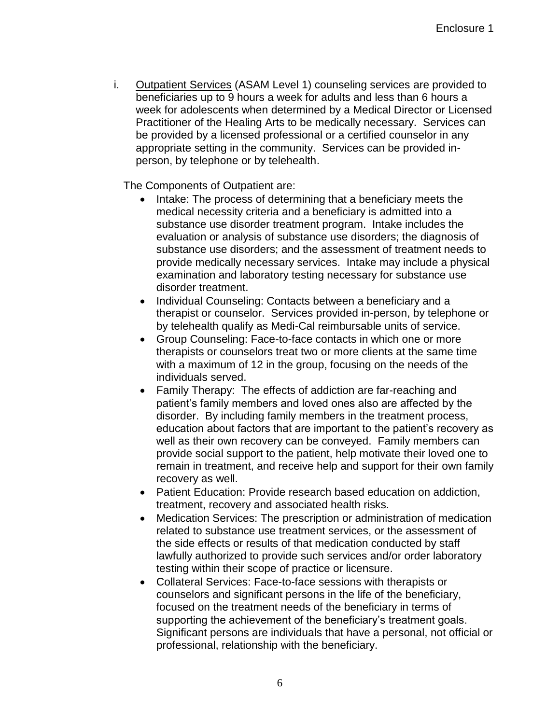i. Outpatient Services (ASAM Level 1) counseling services are provided to beneficiaries up to 9 hours a week for adults and less than 6 hours a week for adolescents when determined by a Medical Director or Licensed Practitioner of the Healing Arts to be medically necessary. Services can be provided by a licensed professional or a certified counselor in any appropriate setting in the community. Services can be provided inperson, by telephone or by telehealth.

The Components of Outpatient are:

- Intake: The process of determining that a beneficiary meets the medical necessity criteria and a beneficiary is admitted into a substance use disorder treatment program. Intake includes the evaluation or analysis of substance use disorders; the diagnosis of substance use disorders; and the assessment of treatment needs to provide medically necessary services. Intake may include a physical examination and laboratory testing necessary for substance use disorder treatment.
- Individual Counseling: Contacts between a beneficiary and a therapist or counselor. Services provided in-person, by telephone or by telehealth qualify as Medi-Cal reimbursable units of service.
- Group Counseling: Face-to-face contacts in which one or more therapists or counselors treat two or more clients at the same time with a maximum of 12 in the group, focusing on the needs of the individuals served.
- Family Therapy: The effects of addiction are far-reaching and patient's family members and loved ones also are affected by the disorder. By including family members in the treatment process, education about factors that are important to the patient's recovery as well as their own recovery can be conveyed. Family members can provide social support to the patient, help motivate their loved one to remain in treatment, and receive help and support for their own family recovery as well.
- Patient Education: Provide research based education on addiction, treatment, recovery and associated health risks.
- Medication Services: The prescription or administration of medication related to substance use treatment services, or the assessment of the side effects or results of that medication conducted by staff lawfully authorized to provide such services and/or order laboratory testing within their scope of practice or licensure.
- Collateral Services: Face-to-face sessions with therapists or counselors and significant persons in the life of the beneficiary, focused on the treatment needs of the beneficiary in terms of supporting the achievement of the beneficiary's treatment goals. Significant persons are individuals that have a personal, not official or professional, relationship with the beneficiary.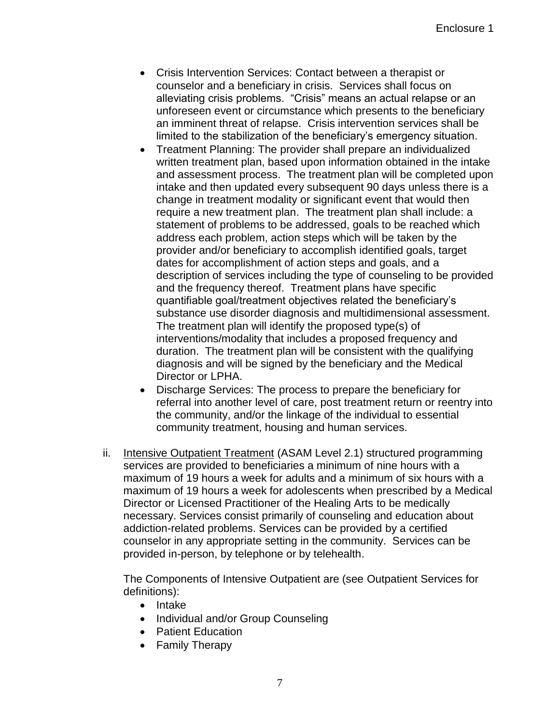- Crisis Intervention Services: Contact between a therapist or counselor and a beneficiary in crisis. Services shall focus on alleviating crisis problems. "Crisis" means an actual relapse or an unforeseen event or circumstance which presents to the beneficiary an imminent threat of relapse. Crisis intervention services shall be limited to the stabilization of the beneficiary's emergency situation.
- Treatment Planning: The provider shall prepare an individualized written treatment plan, based upon information obtained in the intake and assessment process. The treatment plan will be completed upon intake and then updated every subsequent 90 days unless there is a change in treatment modality or significant event that would then require a new treatment plan. The treatment plan shall include: a statement of problems to be addressed, goals to be reached which address each problem, action steps which will be taken by the provider and/or beneficiary to accomplish identified goals, target dates for accomplishment of action steps and goals, and a description of services including the type of counseling to be provided and the frequency thereof. Treatment plans have specific quantifiable goal/treatment objectives related the beneficiary's substance use disorder diagnosis and multidimensional assessment. The treatment plan will identify the proposed type(s) of interventions/modality that includes a proposed frequency and duration. The treatment plan will be consistent with the qualifying diagnosis and will be signed by the beneficiary and the Medical Director or LPHA.
- Discharge Services: The process to prepare the beneficiary for referral into another level of care, post treatment return or reentry into the community, and/or the linkage of the individual to essential community treatment, housing and human services.
- ii. Intensive Outpatient Treatment (ASAM Level 2.1) structured programming services are provided to beneficiaries a minimum of nine hours with a maximum of 19 hours a week for adults and a minimum of six hours with a maximum of 19 hours a week for adolescents when prescribed by a Medical Director or Licensed Practitioner of the Healing Arts to be medically necessary. Services consist primarily of counseling and education about addiction-related problems. Services can be provided by a certified counselor in any appropriate setting in the community. Services can be provided in-person, by telephone or by telehealth.

The Components of Intensive Outpatient are (see Outpatient Services for definitions):

- Intake
- Individual and/or Group Counseling
- Patient Education
- Family Therapy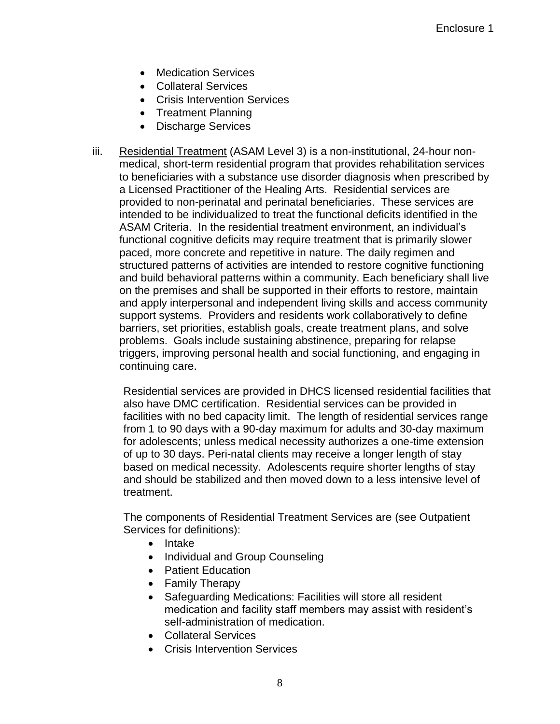- Medication Services
- Collateral Services
- Crisis Intervention Services
- Treatment Planning
- Discharge Services
- iii. Residential Treatment (ASAM Level 3) is a non-institutional, 24-hour nonmedical, short-term residential program that provides rehabilitation services to beneficiaries with a substance use disorder diagnosis when prescribed by a Licensed Practitioner of the Healing Arts. Residential services are provided to non-perinatal and perinatal beneficiaries. These services are intended to be individualized to treat the functional deficits identified in the ASAM Criteria. In the residential treatment environment, an individual's functional cognitive deficits may require treatment that is primarily slower paced, more concrete and repetitive in nature. The daily regimen and structured patterns of activities are intended to restore cognitive functioning and build behavioral patterns within a community. Each beneficiary shall live on the premises and shall be supported in their efforts to restore, maintain and apply interpersonal and independent living skills and access community support systems. Providers and residents work collaboratively to define barriers, set priorities, establish goals, create treatment plans, and solve problems. Goals include sustaining abstinence, preparing for relapse triggers, improving personal health and social functioning, and engaging in continuing care.

Residential services are provided in DHCS licensed residential facilities that also have DMC certification. Residential services can be provided in facilities with no bed capacity limit. The length of residential services range from 1 to 90 days with a 90-day maximum for adults and 30-day maximum for adolescents; unless medical necessity authorizes a one-time extension of up to 30 days. Peri-natal clients may receive a longer length of stay based on medical necessity. Adolescents require shorter lengths of stay and should be stabilized and then moved down to a less intensive level of treatment.

The components of Residential Treatment Services are (see Outpatient Services for definitions):

- Intake
- Individual and Group Counseling
- Patient Education
- Family Therapy
- Safeguarding Medications: Facilities will store all resident medication and facility staff members may assist with resident's self-administration of medication.
- Collateral Services
- Crisis Intervention Services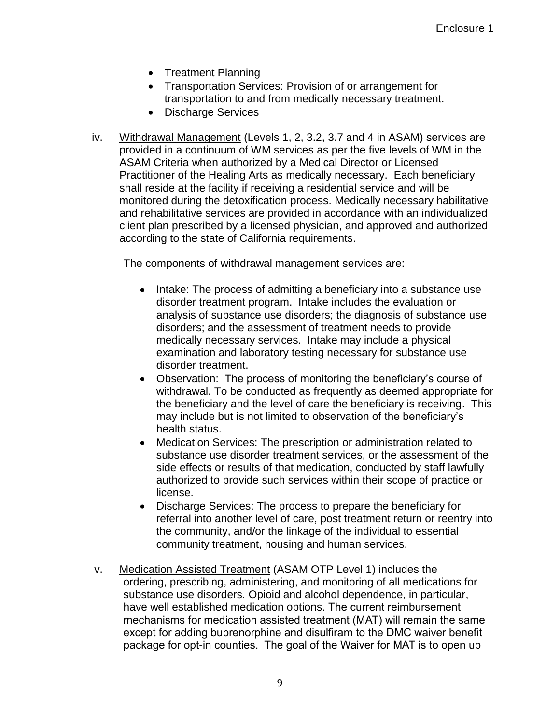- Treatment Planning
- Transportation Services: Provision of or arrangement for transportation to and from medically necessary treatment.
- Discharge Services
- iv. Withdrawal Management (Levels 1, 2, 3.2, 3.7 and 4 in ASAM) services are provided in a continuum of WM services as per the five levels of WM in the ASAM Criteria when authorized by a Medical Director or Licensed Practitioner of the Healing Arts as medically necessary. Each beneficiary shall reside at the facility if receiving a residential service and will be monitored during the detoxification process. Medically necessary habilitative and rehabilitative services are provided in accordance with an individualized client plan prescribed by a licensed physician, and approved and authorized according to the state of California requirements.

The components of withdrawal management services are:

- Intake: The process of admitting a beneficiary into a substance use disorder treatment program. Intake includes the evaluation or analysis of substance use disorders; the diagnosis of substance use disorders; and the assessment of treatment needs to provide medically necessary services. Intake may include a physical examination and laboratory testing necessary for substance use disorder treatment.
- Observation: The process of monitoring the beneficiary's course of withdrawal. To be conducted as frequently as deemed appropriate for the beneficiary and the level of care the beneficiary is receiving. This may include but is not limited to observation of the beneficiary's health status.
- Medication Services: The prescription or administration related to substance use disorder treatment services, or the assessment of the side effects or results of that medication, conducted by staff lawfully authorized to provide such services within their scope of practice or license.
- Discharge Services: The process to prepare the beneficiary for referral into another level of care, post treatment return or reentry into the community, and/or the linkage of the individual to essential community treatment, housing and human services.
- v. Medication Assisted Treatment (ASAM OTP Level 1) includes the ordering, prescribing, administering, and monitoring of all medications for substance use disorders. Opioid and alcohol dependence, in particular, have well established medication options. The current reimbursement mechanisms for medication assisted treatment (MAT) will remain the same except for adding buprenorphine and disulfiram to the DMC waiver benefit package for opt-in counties. The goal of the Waiver for MAT is to open up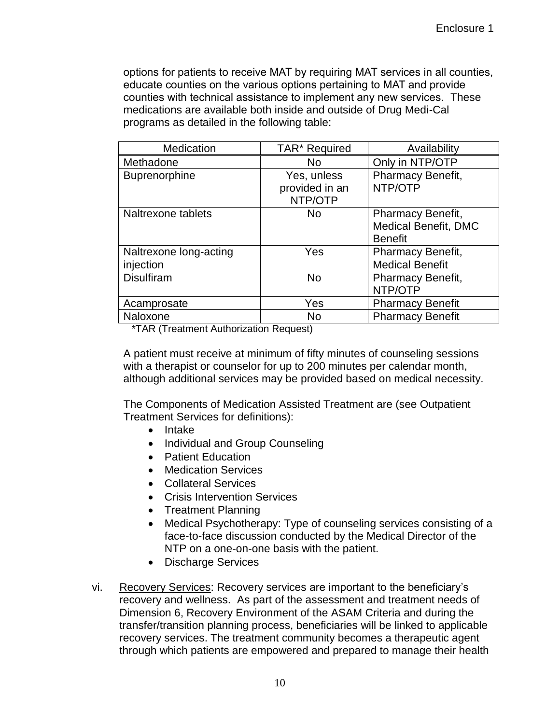options for patients to receive MAT by requiring MAT services in all counties, educate counties on the various options pertaining to MAT and provide counties with technical assistance to implement any new services. These medications are available both inside and outside of Drug Medi-Cal programs as detailed in the following table:

| Medication                          | TAR* Required                            | Availability                                                       |
|-------------------------------------|------------------------------------------|--------------------------------------------------------------------|
| Methadone                           | No                                       | Only in NTP/OTP                                                    |
| <b>Buprenorphine</b>                | Yes, unless<br>provided in an<br>NTP/OTP | Pharmacy Benefit,<br>NTP/OTP                                       |
| Naltrexone tablets                  | No                                       | Pharmacy Benefit,<br><b>Medical Benefit, DMC</b><br><b>Benefit</b> |
| Naltrexone long-acting<br>injection | Yes                                      | Pharmacy Benefit,<br><b>Medical Benefit</b>                        |
| <b>Disulfiram</b>                   | No                                       | Pharmacy Benefit,<br>NTP/OTP                                       |
| Acamprosate                         | Yes                                      | <b>Pharmacy Benefit</b>                                            |
| Naloxone                            | No                                       | <b>Pharmacy Benefit</b>                                            |

\*TAR (Treatment Authorization Request)

A patient must receive at minimum of fifty minutes of counseling sessions with a therapist or counselor for up to 200 minutes per calendar month, although additional services may be provided based on medical necessity.

The Components of Medication Assisted Treatment are (see Outpatient Treatment Services for definitions):

- Intake
- Individual and Group Counseling
- Patient Education
- Medication Services
- Collateral Services
- Crisis Intervention Services
- Treatment Planning
- Medical Psychotherapy: Type of counseling services consisting of a face-to-face discussion conducted by the Medical Director of the NTP on a one-on-one basis with the patient.
- Discharge Services
- vi. Recovery Services: Recovery services are important to the beneficiary's recovery and wellness. As part of the assessment and treatment needs of Dimension 6, Recovery Environment of the ASAM Criteria and during the transfer/transition planning process, beneficiaries will be linked to applicable recovery services. The treatment community becomes a therapeutic agent through which patients are empowered and prepared to manage their health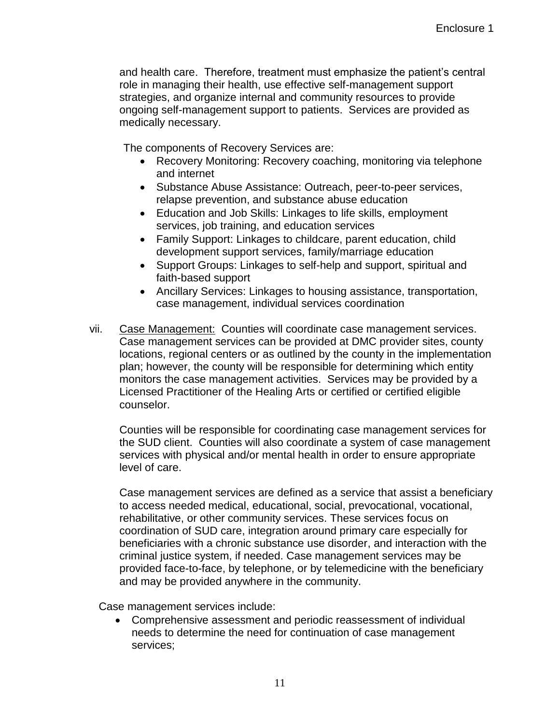and health care. Therefore, treatment must emphasize the patient's central role in managing their health, use effective self-management support strategies, and organize internal and community resources to provide ongoing self-management support to patients. Services are provided as medically necessary.

The components of Recovery Services are:

- Recovery Monitoring: Recovery coaching, monitoring via telephone and internet
- Substance Abuse Assistance: Outreach, peer-to-peer services, relapse prevention, and substance abuse education
- Education and Job Skills: Linkages to life skills, employment services, job training, and education services
- Family Support: Linkages to childcare, parent education, child development support services, family/marriage education
- Support Groups: Linkages to self-help and support, spiritual and faith-based support
- Ancillary Services: Linkages to housing assistance, transportation, case management, individual services coordination
- vii. Case Management: Counties will coordinate case management services. Case management services can be provided at DMC provider sites, county locations, regional centers or as outlined by the county in the implementation plan; however, the county will be responsible for determining which entity monitors the case management activities. Services may be provided by a Licensed Practitioner of the Healing Arts or certified or certified eligible counselor.

Counties will be responsible for coordinating case management services for the SUD client. Counties will also coordinate a system of case management services with physical and/or mental health in order to ensure appropriate level of care.

Case management services are defined as a service that assist a beneficiary to access needed medical, educational, social, prevocational, vocational, rehabilitative, or other community services. These services focus on coordination of SUD care, integration around primary care especially for beneficiaries with a chronic substance use disorder, and interaction with the criminal justice system, if needed. Case management services may be provided face-to-face, by telephone, or by telemedicine with the beneficiary and may be provided anywhere in the community.

Case management services include:

 Comprehensive assessment and periodic reassessment of individual needs to determine the need for continuation of case management services;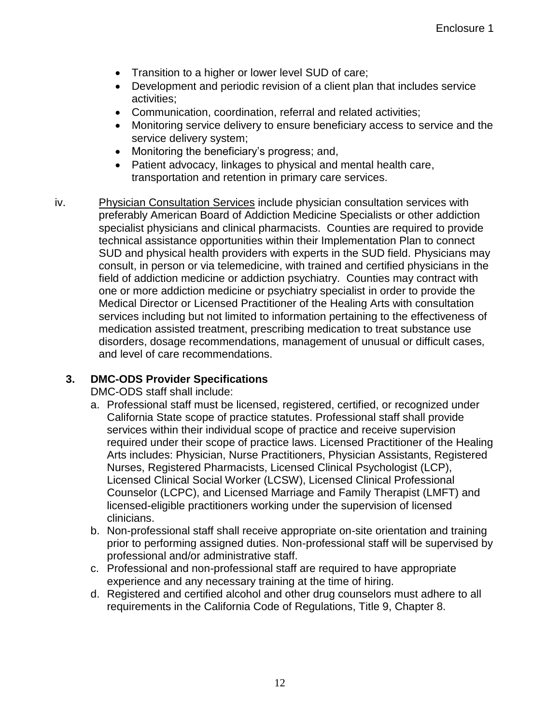- Transition to a higher or lower level SUD of care;
- Development and periodic revision of a client plan that includes service activities;
- Communication, coordination, referral and related activities;
- Monitoring service delivery to ensure beneficiary access to service and the service delivery system;
- Monitoring the beneficiary's progress; and,
- Patient advocacy, linkages to physical and mental health care, transportation and retention in primary care services.
- iv. Physician Consultation Services include physician consultation services with preferably American Board of Addiction Medicine Specialists or other addiction specialist physicians and clinical pharmacists. Counties are required to provide technical assistance opportunities within their Implementation Plan to connect SUD and physical health providers with experts in the SUD field. Physicians may consult, in person or via telemedicine, with trained and certified physicians in the field of addiction medicine or addiction psychiatry. Counties may contract with one or more addiction medicine or psychiatry specialist in order to provide the Medical Director or Licensed Practitioner of the Healing Arts with consultation services including but not limited to information pertaining to the effectiveness of medication assisted treatment, prescribing medication to treat substance use disorders, dosage recommendations, management of unusual or difficult cases, and level of care recommendations.

# **3. DMC-ODS Provider Specifications**

DMC-ODS staff shall include:

- a. Professional staff must be licensed, registered, certified, or recognized under California State scope of practice statutes. Professional staff shall provide services within their individual scope of practice and receive supervision required under their scope of practice laws. Licensed Practitioner of the Healing Arts includes: Physician, Nurse Practitioners, Physician Assistants, Registered Nurses, Registered Pharmacists, Licensed Clinical Psychologist (LCP), Licensed Clinical Social Worker (LCSW), Licensed Clinical Professional Counselor (LCPC), and Licensed Marriage and Family Therapist (LMFT) and licensed-eligible practitioners working under the supervision of licensed clinicians.
- b. Non-professional staff shall receive appropriate on-site orientation and training prior to performing assigned duties. Non-professional staff will be supervised by professional and/or administrative staff.
- c. Professional and non-professional staff are required to have appropriate experience and any necessary training at the time of hiring.
- d. Registered and certified alcohol and other drug counselors must adhere to all requirements in the California Code of Regulations, Title 9, Chapter 8.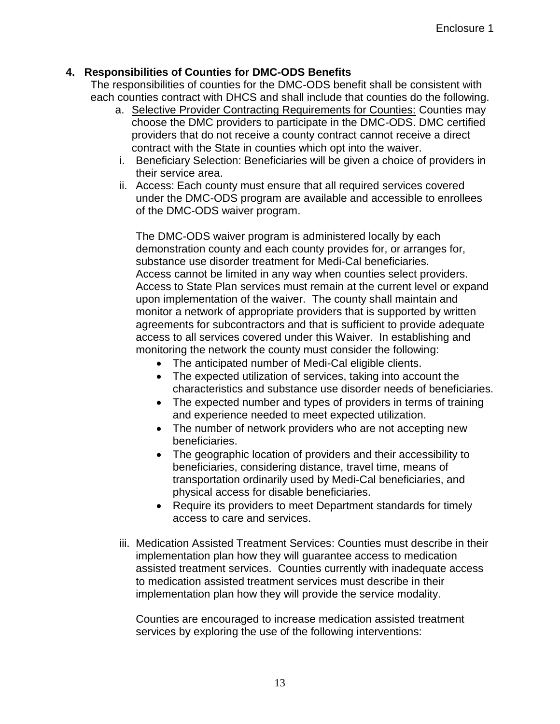## **4. Responsibilities of Counties for DMC-ODS Benefits**

The responsibilities of counties for the DMC-ODS benefit shall be consistent with each counties contract with DHCS and shall include that counties do the following.

- a. Selective Provider Contracting Requirements for Counties: Counties may choose the DMC providers to participate in the DMC-ODS. DMC certified providers that do not receive a county contract cannot receive a direct contract with the State in counties which opt into the waiver.
- i. Beneficiary Selection: Beneficiaries will be given a choice of providers in their service area.
- ii. Access: Each county must ensure that all required services covered under the DMC-ODS program are available and accessible to enrollees of the DMC-ODS waiver program.

The DMC-ODS waiver program is administered locally by each demonstration county and each county provides for, or arranges for, substance use disorder treatment for Medi-Cal beneficiaries. Access cannot be limited in any way when counties select providers. Access to State Plan services must remain at the current level or expand upon implementation of the waiver. The county shall maintain and monitor a network of appropriate providers that is supported by written agreements for subcontractors and that is sufficient to provide adequate access to all services covered under this Waiver. In establishing and monitoring the network the county must consider the following:

- The anticipated number of Medi-Cal eligible clients.
- The expected utilization of services, taking into account the characteristics and substance use disorder needs of beneficiaries.
- The expected number and types of providers in terms of training and experience needed to meet expected utilization.
- The number of network providers who are not accepting new beneficiaries.
- The geographic location of providers and their accessibility to beneficiaries, considering distance, travel time, means of transportation ordinarily used by Medi-Cal beneficiaries, and physical access for disable beneficiaries.
- Require its providers to meet Department standards for timely access to care and services.
- iii. Medication Assisted Treatment Services: Counties must describe in their implementation plan how they will guarantee access to medication assisted treatment services. Counties currently with inadequate access to medication assisted treatment services must describe in their implementation plan how they will provide the service modality.

Counties are encouraged to increase medication assisted treatment services by exploring the use of the following interventions: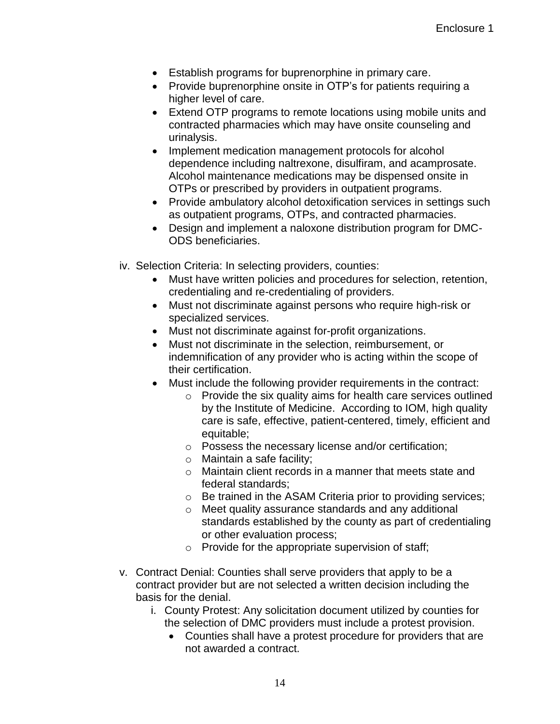- Establish programs for buprenorphine in primary care.
- Provide buprenorphine onsite in OTP's for patients requiring a higher level of care.
- Extend OTP programs to remote locations using mobile units and contracted pharmacies which may have onsite counseling and urinalysis.
- Implement medication management protocols for alcohol dependence including naltrexone, disulfiram, and acamprosate. Alcohol maintenance medications may be dispensed onsite in OTPs or prescribed by providers in outpatient programs.
- Provide ambulatory alcohol detoxification services in settings such as outpatient programs, OTPs, and contracted pharmacies.
- Design and implement a naloxone distribution program for DMC-ODS beneficiaries.
- iv. Selection Criteria: In selecting providers, counties:
	- Must have written policies and procedures for selection, retention, credentialing and re-credentialing of providers.
	- Must not discriminate against persons who require high-risk or specialized services.
	- Must not discriminate against for-profit organizations.
	- Must not discriminate in the selection, reimbursement, or indemnification of any provider who is acting within the scope of their certification.
	- Must include the following provider requirements in the contract:
		- o Provide the six quality aims for health care services outlined by the Institute of Medicine. According to IOM, high quality care is safe, effective, patient-centered, timely, efficient and equitable;
		- o Possess the necessary license and/or certification;
		- o Maintain a safe facility;
		- o Maintain client records in a manner that meets state and federal standards;
		- o Be trained in the ASAM Criteria prior to providing services;
		- o Meet quality assurance standards and any additional standards established by the county as part of credentialing or other evaluation process;
		- o Provide for the appropriate supervision of staff;
- v. Contract Denial: Counties shall serve providers that apply to be a contract provider but are not selected a written decision including the basis for the denial.
	- i. County Protest: Any solicitation document utilized by counties for the selection of DMC providers must include a protest provision.
		- Counties shall have a protest procedure for providers that are not awarded a contract.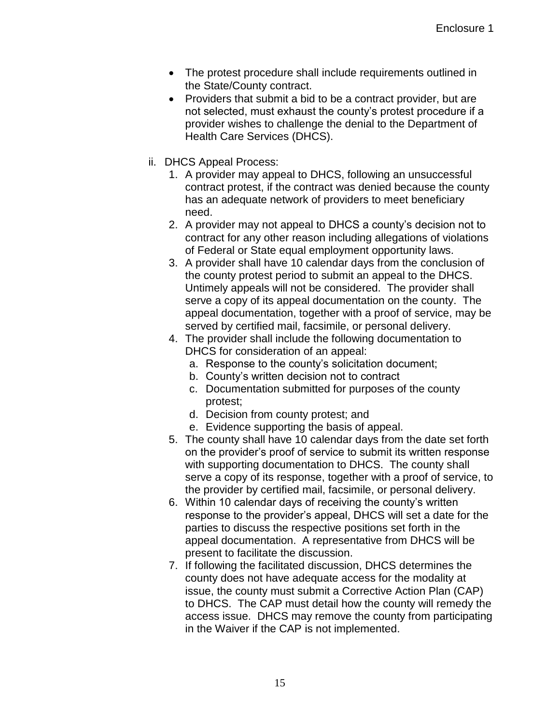- The protest procedure shall include requirements outlined in the State/County contract.
- Providers that submit a bid to be a contract provider, but are not selected, must exhaust the county's protest procedure if a provider wishes to challenge the denial to the Department of Health Care Services (DHCS).
- ii. DHCS Appeal Process:
	- 1. A provider may appeal to DHCS, following an unsuccessful contract protest, if the contract was denied because the county has an adequate network of providers to meet beneficiary need.
	- 2. A provider may not appeal to DHCS a county's decision not to contract for any other reason including allegations of violations of Federal or State equal employment opportunity laws.
	- 3. A provider shall have 10 calendar days from the conclusion of the county protest period to submit an appeal to the DHCS. Untimely appeals will not be considered. The provider shall serve a copy of its appeal documentation on the county. The appeal documentation, together with a proof of service, may be served by certified mail, facsimile, or personal delivery.
	- 4. The provider shall include the following documentation to DHCS for consideration of an appeal:
		- a. Response to the county's solicitation document;
		- b. County's written decision not to contract
		- c. Documentation submitted for purposes of the county protest;
		- d. Decision from county protest; and
		- e. Evidence supporting the basis of appeal.
	- 5. The county shall have 10 calendar days from the date set forth on the provider's proof of service to submit its written response with supporting documentation to DHCS. The county shall serve a copy of its response, together with a proof of service, to the provider by certified mail, facsimile, or personal delivery.
	- 6. Within 10 calendar days of receiving the county's written response to the provider's appeal, DHCS will set a date for the parties to discuss the respective positions set forth in the appeal documentation. A representative from DHCS will be present to facilitate the discussion.
	- 7. If following the facilitated discussion, DHCS determines the county does not have adequate access for the modality at issue, the county must submit a Corrective Action Plan (CAP) to DHCS. The CAP must detail how the county will remedy the access issue. DHCS may remove the county from participating in the Waiver if the CAP is not implemented.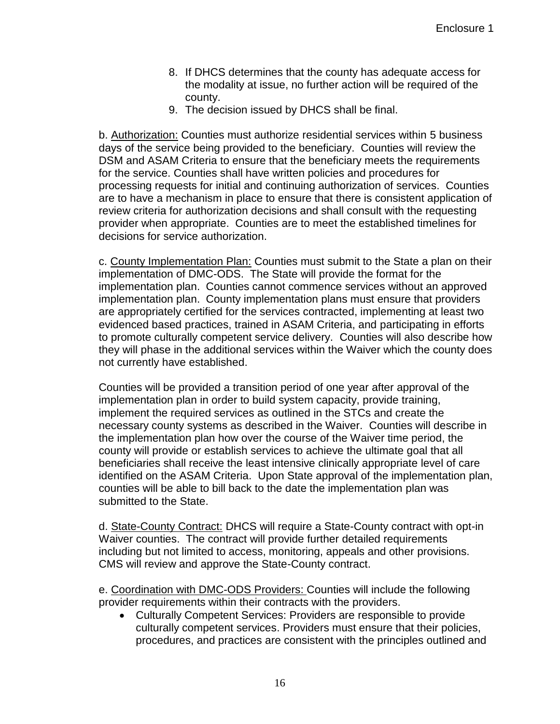- 8. If DHCS determines that the county has adequate access for the modality at issue, no further action will be required of the county.
- 9. The decision issued by DHCS shall be final.

b. Authorization: Counties must authorize residential services within 5 business days of the service being provided to the beneficiary. Counties will review the DSM and ASAM Criteria to ensure that the beneficiary meets the requirements for the service. Counties shall have written policies and procedures for processing requests for initial and continuing authorization of services. Counties are to have a mechanism in place to ensure that there is consistent application of review criteria for authorization decisions and shall consult with the requesting provider when appropriate. Counties are to meet the established timelines for decisions for service authorization.

c. County Implementation Plan: Counties must submit to the State a plan on their implementation of DMC-ODS. The State will provide the format for the implementation plan. Counties cannot commence services without an approved implementation plan. County implementation plans must ensure that providers are appropriately certified for the services contracted, implementing at least two evidenced based practices, trained in ASAM Criteria, and participating in efforts to promote culturally competent service delivery. Counties will also describe how they will phase in the additional services within the Waiver which the county does not currently have established.

Counties will be provided a transition period of one year after approval of the implementation plan in order to build system capacity, provide training, implement the required services as outlined in the STCs and create the necessary county systems as described in the Waiver. Counties will describe in the implementation plan how over the course of the Waiver time period, the county will provide or establish services to achieve the ultimate goal that all beneficiaries shall receive the least intensive clinically appropriate level of care identified on the ASAM Criteria. Upon State approval of the implementation plan, counties will be able to bill back to the date the implementation plan was submitted to the State.

d. State-County Contract: DHCS will require a State-County contract with opt-in Waiver counties. The contract will provide further detailed requirements including but not limited to access, monitoring, appeals and other provisions. CMS will review and approve the State-County contract.

e. Coordination with DMC-ODS Providers: Counties will include the following provider requirements within their contracts with the providers.

 Culturally Competent Services: Providers are responsible to provide culturally competent services. Providers must ensure that their policies, procedures, and practices are consistent with the principles outlined and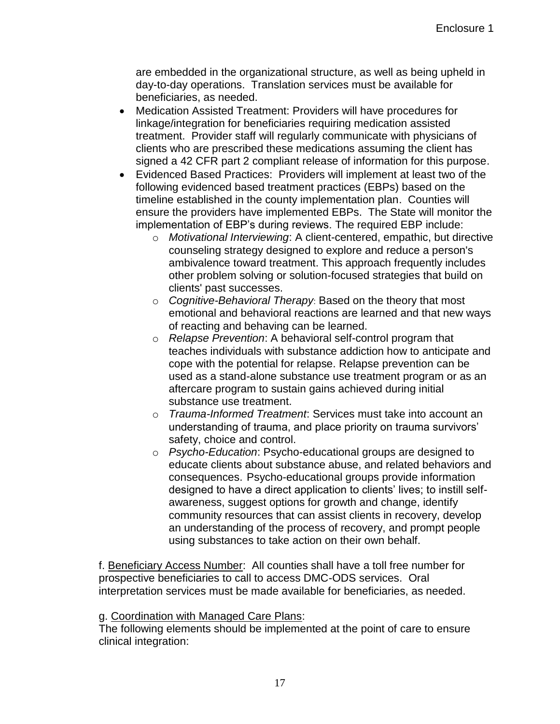are embedded in the organizational structure, as well as being upheld in day-to-day operations. Translation services must be available for beneficiaries, as needed.

- Medication Assisted Treatment: Providers will have procedures for linkage/integration for beneficiaries requiring medication assisted treatment. Provider staff will regularly communicate with physicians of clients who are prescribed these medications assuming the client has signed a 42 CFR part 2 compliant release of information for this purpose.
- Evidenced Based Practices: Providers will implement at least two of the following evidenced based treatment practices (EBPs) based on the timeline established in the county implementation plan. Counties will ensure the providers have implemented EBPs. The State will monitor the implementation of EBP's during reviews. The required EBP include:
	- o *Motivational Interviewing*: A client-centered, empathic, but directive counseling strategy designed to explore and reduce a person's ambivalence toward treatment. This approach frequently includes other problem solving or solution-focused strategies that build on clients' past successes.
	- o *Cognitive-Behavioral Therapy*: Based on the theory that most emotional and behavioral reactions are learned and that new ways of reacting and behaving can be learned.
	- o *Relapse Prevention*: A behavioral self-control program that teaches individuals with substance addiction how to anticipate and cope with the potential for relapse. Relapse prevention can be used as a stand-alone substance use treatment program or as an aftercare program to sustain gains achieved during initial substance use treatment.
	- o *Trauma-Informed Treatment*: Services must take into account an understanding of trauma, and place priority on trauma survivors' safety, choice and control.
	- o *Psycho-Education*: Psycho-educational groups are designed to educate clients about substance abuse, and related behaviors and consequences. Psycho-educational groups provide information designed to have a direct application to clients' lives; to instill selfawareness, suggest options for growth and change, identify community resources that can assist clients in recovery, develop an understanding of the process of recovery, and prompt people using substances to take action on their own behalf.

f. Beneficiary Access Number: All counties shall have a toll free number for prospective beneficiaries to call to access DMC-ODS services. Oral interpretation services must be made available for beneficiaries, as needed.

## g. Coordination with Managed Care Plans:

The following elements should be implemented at the point of care to ensure clinical integration: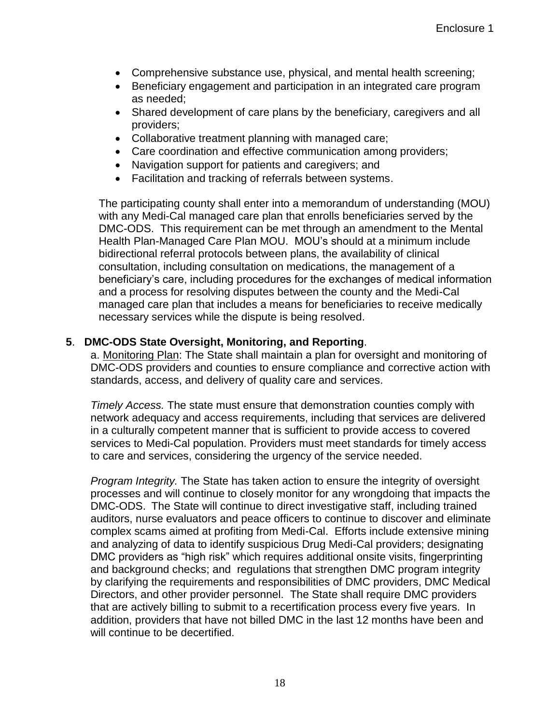- Comprehensive substance use, physical, and mental health screening;
- Beneficiary engagement and participation in an integrated care program as needed;
- Shared development of care plans by the beneficiary, caregivers and all providers;
- Collaborative treatment planning with managed care;
- Care coordination and effective communication among providers;
- Navigation support for patients and caregivers; and
- Facilitation and tracking of referrals between systems.

The participating county shall enter into a memorandum of understanding (MOU) with any Medi-Cal managed care plan that enrolls beneficiaries served by the DMC-ODS. This requirement can be met through an amendment to the Mental Health Plan-Managed Care Plan MOU. MOU's should at a minimum include bidirectional referral protocols between plans, the availability of clinical consultation, including consultation on medications, the management of a beneficiary's care, including procedures for the exchanges of medical information and a process for resolving disputes between the county and the Medi-Cal managed care plan that includes a means for beneficiaries to receive medically necessary services while the dispute is being resolved.

## **5**. **DMC-ODS State Oversight, Monitoring, and Reporting**.

a. Monitoring Plan: The State shall maintain a plan for oversight and monitoring of DMC-ODS providers and counties to ensure compliance and corrective action with standards, access, and delivery of quality care and services.

*Timely Access.* The state must ensure that demonstration counties comply with network adequacy and access requirements, including that services are delivered in a culturally competent manner that is sufficient to provide access to covered services to Medi-Cal population. Providers must meet standards for timely access to care and services, considering the urgency of the service needed.

*Program Integrity.* The State has taken action to ensure the integrity of oversight processes and will continue to closely monitor for any wrongdoing that impacts the DMC-ODS. The State will continue to direct investigative staff, including trained auditors, nurse evaluators and peace officers to continue to discover and eliminate complex scams aimed at profiting from Medi-Cal. Efforts include extensive mining and analyzing of data to identify suspicious Drug Medi-Cal providers; designating DMC providers as "high risk" which requires additional onsite visits, fingerprinting and background checks; and regulations that strengthen DMC program integrity by clarifying the requirements and responsibilities of DMC providers, DMC Medical Directors, and other provider personnel. The State shall require DMC providers that are actively billing to submit to a recertification process every five years. In addition, providers that have not billed DMC in the last 12 months have been and will continue to be decertified.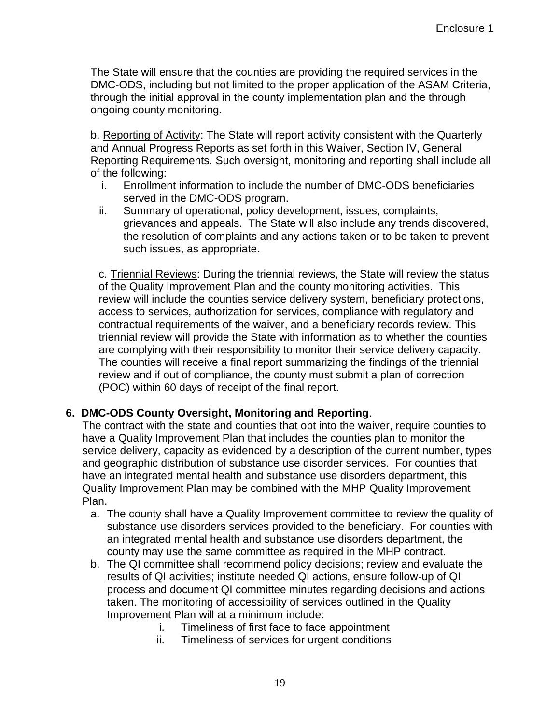The State will ensure that the counties are providing the required services in the DMC-ODS, including but not limited to the proper application of the ASAM Criteria, through the initial approval in the county implementation plan and the through ongoing county monitoring.

b. Reporting of Activity: The State will report activity consistent with the Quarterly and Annual Progress Reports as set forth in this Waiver, Section IV, General Reporting Requirements. Such oversight, monitoring and reporting shall include all of the following:

- i. Enrollment information to include the number of DMC-ODS beneficiaries served in the DMC-ODS program.
- ii. Summary of operational, policy development, issues, complaints, grievances and appeals. The State will also include any trends discovered, the resolution of complaints and any actions taken or to be taken to prevent such issues, as appropriate.

c. Triennial Reviews: During the triennial reviews, the State will review the status of the Quality Improvement Plan and the county monitoring activities. This review will include the counties service delivery system, beneficiary protections, access to services, authorization for services, compliance with regulatory and contractual requirements of the waiver, and a beneficiary records review. This triennial review will provide the State with information as to whether the counties are complying with their responsibility to monitor their service delivery capacity. The counties will receive a final report summarizing the findings of the triennial review and if out of compliance, the county must submit a plan of correction (POC) within 60 days of receipt of the final report.

## **6. DMC-ODS County Oversight, Monitoring and Reporting**.

The contract with the state and counties that opt into the waiver, require counties to have a Quality Improvement Plan that includes the counties plan to monitor the service delivery, capacity as evidenced by a description of the current number, types and geographic distribution of substance use disorder services. For counties that have an integrated mental health and substance use disorders department, this Quality Improvement Plan may be combined with the MHP Quality Improvement Plan.

- a. The county shall have a Quality Improvement committee to review the quality of substance use disorders services provided to the beneficiary. For counties with an integrated mental health and substance use disorders department, the county may use the same committee as required in the MHP contract.
- b. The QI committee shall recommend policy decisions; review and evaluate the results of QI activities; institute needed QI actions, ensure follow-up of QI process and document QI committee minutes regarding decisions and actions taken. The monitoring of accessibility of services outlined in the Quality Improvement Plan will at a minimum include:
	- i. Timeliness of first face to face appointment
	- ii. Timeliness of services for urgent conditions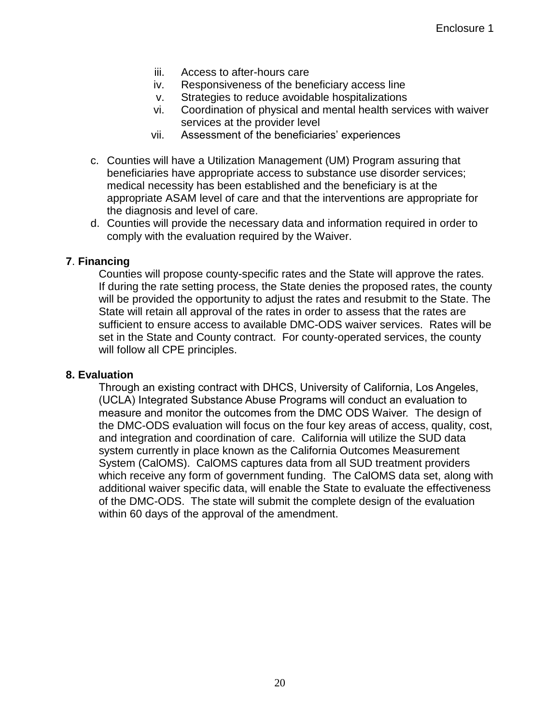- iii. Access to after-hours care
- iv. Responsiveness of the beneficiary access line
- v. Strategies to reduce avoidable hospitalizations
- vi. Coordination of physical and mental health services with waiver services at the provider level
- vii. Assessment of the beneficiaries' experiences
- c. Counties will have a Utilization Management (UM) Program assuring that beneficiaries have appropriate access to substance use disorder services; medical necessity has been established and the beneficiary is at the appropriate ASAM level of care and that the interventions are appropriate for the diagnosis and level of care.
- d. Counties will provide the necessary data and information required in order to comply with the evaluation required by the Waiver.

#### **7**. **Financing**

Counties will propose county-specific rates and the State will approve the rates. If during the rate setting process, the State denies the proposed rates, the county will be provided the opportunity to adjust the rates and resubmit to the State. The State will retain all approval of the rates in order to assess that the rates are sufficient to ensure access to available DMC-ODS waiver services. Rates will be set in the State and County contract. For county-operated services, the county will follow all CPE principles.

#### **8. Evaluation**

Through an existing contract with DHCS, University of California, Los Angeles, (UCLA) Integrated Substance Abuse Programs will conduct an evaluation to measure and monitor the outcomes from the DMC ODS Waiver. The design of the DMC-ODS evaluation will focus on the four key areas of access, quality, cost, and integration and coordination of care. California will utilize the SUD data system currently in place known as the California Outcomes Measurement System (CalOMS). CalOMS captures data from all SUD treatment providers which receive any form of government funding. The CalOMS data set, along with additional waiver specific data, will enable the State to evaluate the effectiveness of the DMC-ODS. The state will submit the complete design of the evaluation within 60 days of the approval of the amendment.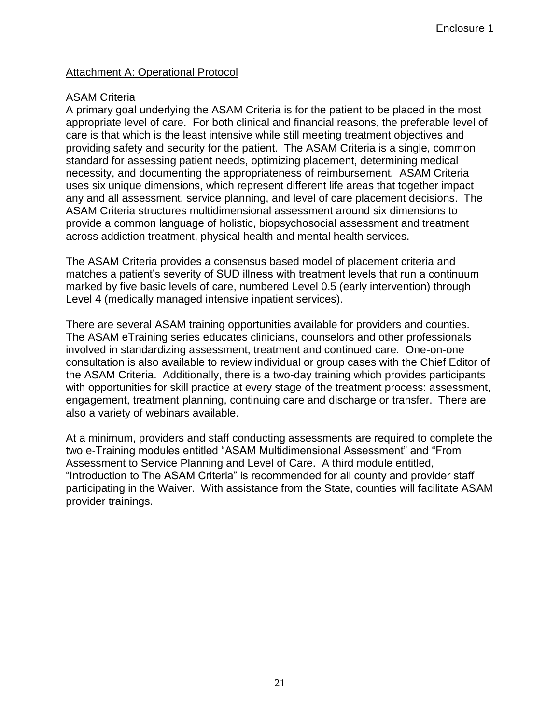## Attachment A: Operational Protocol

#### ASAM Criteria

A primary goal underlying the ASAM Criteria is for the patient to be placed in the most appropriate level of care. For both clinical and financial reasons, the preferable level of care is that which is the least intensive while still meeting treatment objectives and providing safety and security for the patient. The ASAM Criteria is a single, common standard for assessing patient needs, optimizing placement, determining medical necessity, and documenting the appropriateness of reimbursement. ASAM Criteria uses six unique dimensions, which represent different life areas that together impact any and all assessment, service planning, and level of care placement decisions. The ASAM Criteria structures multidimensional assessment around six dimensions to provide a common language of holistic, biopsychosocial assessment and treatment across addiction treatment, physical health and mental health services.

The ASAM Criteria provides a consensus based model of placement criteria and matches a patient's severity of SUD illness with treatment levels that run a continuum marked by five basic levels of care, numbered Level 0.5 (early intervention) through Level 4 (medically managed intensive inpatient services).

There are several ASAM training opportunities available for providers and counties. The ASAM eTraining series educates clinicians, counselors and other professionals involved in standardizing assessment, treatment and continued care. One-on-one consultation is also available to review individual or group cases with the Chief Editor of the ASAM Criteria. Additionally, there is a two-day training which provides participants with opportunities for skill practice at every stage of the treatment process: assessment, engagement, treatment planning, continuing care and discharge or transfer. There are also a variety of webinars available.

At a minimum, providers and staff conducting assessments are required to complete the two e-Training modules entitled "ASAM Multidimensional Assessment" and "From Assessment to Service Planning and Level of Care. A third module entitled, "Introduction to The ASAM Criteria" is recommended for all county and provider staff participating in the Waiver. With assistance from the State, counties will facilitate ASAM provider trainings.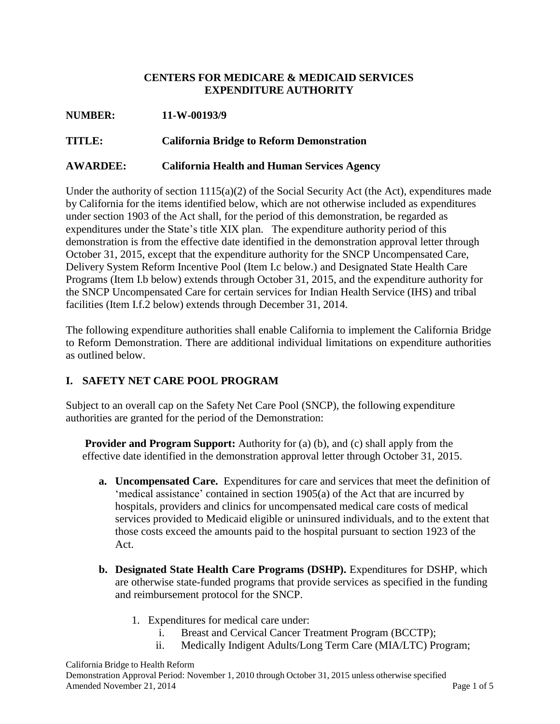## **CENTERS FOR MEDICARE & MEDICAID SERVICES EXPENDITURE AUTHORITY**

#### **NUMBER: 11-W-00193/9**

**TITLE: California Bridge to Reform Demonstration** 

#### **AWARDEE: California Health and Human Services Agency**

Under the authority of section 1115(a)(2) of the Social Security Act (the Act), expenditures made by California for the items identified below, which are not otherwise included as expenditures under section 1903 of the Act shall, for the period of this demonstration, be regarded as expenditures under the State's title XIX plan. The expenditure authority period of this demonstration is from the effective date identified in the demonstration approval letter through October 31, 2015, except that the expenditure authority for the SNCP Uncompensated Care, Delivery System Reform Incentive Pool (Item I.c below.) and Designated State Health Care Programs (Item I.b below) extends through October 31, 2015, and the expenditure authority for the SNCP Uncompensated Care for certain services for Indian Health Service (IHS) and tribal facilities (Item I.f.2 below) extends through December 31, 2014.

The following expenditure authorities shall enable California to implement the California Bridge to Reform Demonstration. There are additional individual limitations on expenditure authorities as outlined below.

## **I. SAFETY NET CARE POOL PROGRAM**

Subject to an overall cap on the Safety Net Care Pool (SNCP), the following expenditure authorities are granted for the period of the Demonstration:

**Provider and Program Support:** Authority for (a) (b), and (c) shall apply from the effective date identified in the demonstration approval letter through October 31, 2015.

- **a. Uncompensated Care.** Expenditures for care and services that meet the definition of 'medical assistance' contained in section 1905(a) of the Act that are incurred by hospitals, providers and clinics for uncompensated medical care costs of medical services provided to Medicaid eligible or uninsured individuals, and to the extent that those costs exceed the amounts paid to the hospital pursuant to section 1923 of the Act.
- **b. Designated State Health Care Programs (DSHP).** Expenditures for DSHP, which are otherwise state-funded programs that provide services as specified in the funding and reimbursement protocol for the SNCP.
	- 1. Expenditures for medical care under:
		- i. Breast and Cervical Cancer Treatment Program (BCCTP);
		- ii. Medically Indigent Adults/Long Term Care (MIA/LTC) Program;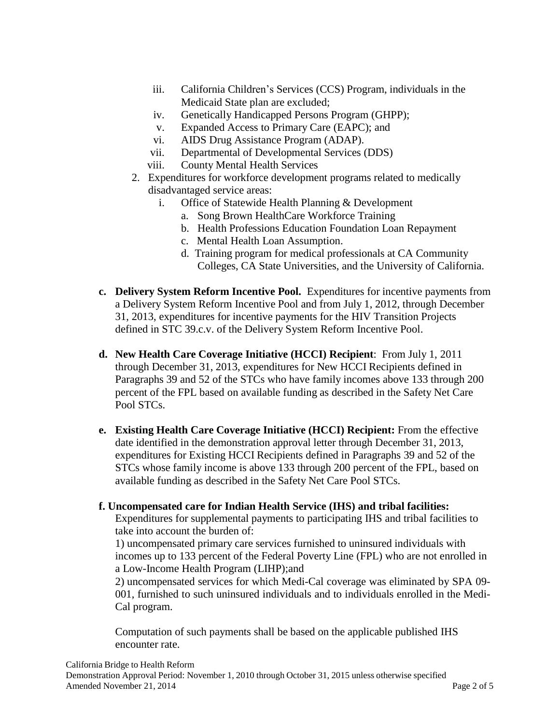- iii. California Children's Services (CCS) Program, individuals in the Medicaid State plan are excluded;
- iv. Genetically Handicapped Persons Program (GHPP);
- v. Expanded Access to Primary Care (EAPC); and
- vi. AIDS Drug Assistance Program (ADAP).
- vii. Departmental of Developmental Services (DDS)
- viii. County Mental Health Services
- 2. Expenditures for workforce development programs related to medically disadvantaged service areas:
	- i. Office of Statewide Health Planning & Development
		- a. Song Brown HealthCare Workforce Training
		- b. Health Professions Education Foundation Loan Repayment
		- c. Mental Health Loan Assumption.
		- d. Training program for medical professionals at CA Community Colleges, CA State Universities, and the University of California.
- **c. Delivery System Reform Incentive Pool.** Expenditures for incentive payments from a Delivery System Reform Incentive Pool and from July 1, 2012, through December 31, 2013, expenditures for incentive payments for the HIV Transition Projects defined in STC 39.c.v. of the Delivery System Reform Incentive Pool.
- **d. New Health Care Coverage Initiative (HCCI) Recipient**: From July 1, 2011 through December 31, 2013, expenditures for New HCCI Recipients defined in Paragraphs 39 and 52 of the STCs who have family incomes above 133 through 200 percent of the FPL based on available funding as described in the Safety Net Care Pool STCs.
- **e. Existing Health Care Coverage Initiative (HCCI) Recipient:** From the effective date identified in the demonstration approval letter through December 31, 2013, expenditures for Existing HCCI Recipients defined in Paragraphs 39 and 52 of the STCs whose family income is above 133 through 200 percent of the FPL, based on available funding as described in the Safety Net Care Pool STCs.

#### **f. Uncompensated care for Indian Health Service (IHS) and tribal facilities:**

Expenditures for supplemental payments to participating IHS and tribal facilities to take into account the burden of:

1) uncompensated primary care services furnished to uninsured individuals with incomes up to 133 percent of the Federal Poverty Line (FPL) who are not enrolled in a Low-Income Health Program (LIHP);and

2) uncompensated services for which Medi-Cal coverage was eliminated by SPA 09- 001, furnished to such uninsured individuals and to individuals enrolled in the Medi-Cal program.

Computation of such payments shall be based on the applicable published IHS encounter rate.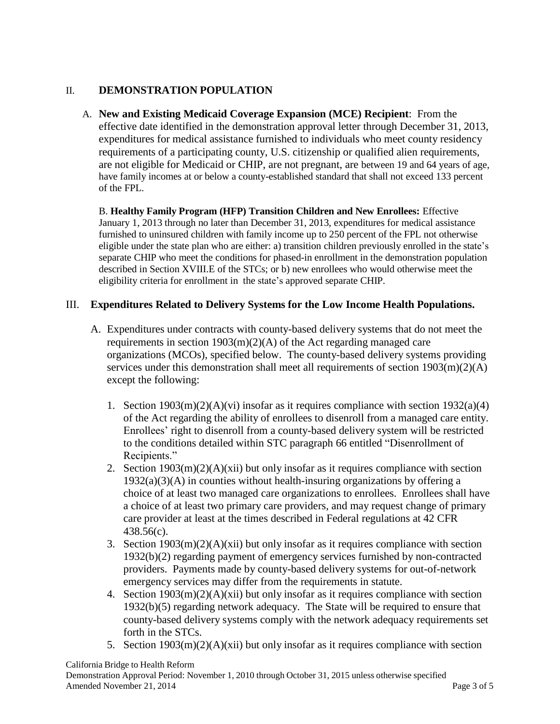## II. **DEMONSTRATION POPULATION**

A. **New and Existing Medicaid Coverage Expansion (MCE) Recipient**: From the effective date identified in the demonstration approval letter through December 31, 2013, expenditures for medical assistance furnished to individuals who meet county residency requirements of a participating county, U.S. citizenship or qualified alien requirements, are not eligible for Medicaid or CHIP, are not pregnant, are between 19 and 64 years of age, have family incomes at or below a county-established standard that shall not exceed 133 percent of the FPL.

B. **Healthy Family Program (HFP) Transition Children and New Enrollees:** Effective January 1, 2013 through no later than December 31, 2013, expenditures for medical assistance furnished to uninsured children with family income up to 250 percent of the FPL not otherwise eligible under the state plan who are either: a) transition children previously enrolled in the state's separate CHIP who meet the conditions for phased-in enrollment in the demonstration population described in Section XVIII.E of the STCs; or b) new enrollees who would otherwise meet the eligibility criteria for enrollment in the state's approved separate CHIP.

## III. **Expenditures Related to Delivery Systems for the Low Income Health Populations.**

- A. Expenditures under contracts with county-based delivery systems that do not meet the requirements in section 1903(m)(2)(A) of the Act regarding managed care organizations (MCOs), specified below. The county-based delivery systems providing services under this demonstration shall meet all requirements of section 1903(m)(2)(A) except the following:
	- 1. Section  $1903(m)(2)(A)(vi)$  insofar as it requires compliance with section  $1932(a)(4)$ of the Act regarding the ability of enrollees to disenroll from a managed care entity. Enrollees' right to disenroll from a county-based delivery system will be restricted to the conditions detailed within STC paragraph 66 entitled "Disenrollment of Recipients."
	- 2. Section  $1903(m)(2)(A)(xii)$  but only insofar as it requires compliance with section  $1932(a)(3)(A)$  in counties without health-insuring organizations by offering a choice of at least two managed care organizations to enrollees. Enrollees shall have a choice of at least two primary care providers, and may request change of primary care provider at least at the times described in Federal regulations at 42 CFR 438.56(c).
	- 3. Section  $1903(m)(2)(A)(xii)$  but only insofar as it requires compliance with section 1932(b)(2) regarding payment of emergency services furnished by non-contracted providers. Payments made by county-based delivery systems for out-of-network emergency services may differ from the requirements in statute.
	- 4. Section 1903(m)(2)(A)(xii) but only insofar as it requires compliance with section 1932(b)(5) regarding network adequacy. The State will be required to ensure that county-based delivery systems comply with the network adequacy requirements set forth in the STCs.
	- 5. Section 1903(m)(2)(A)(xii) but only insofar as it requires compliance with section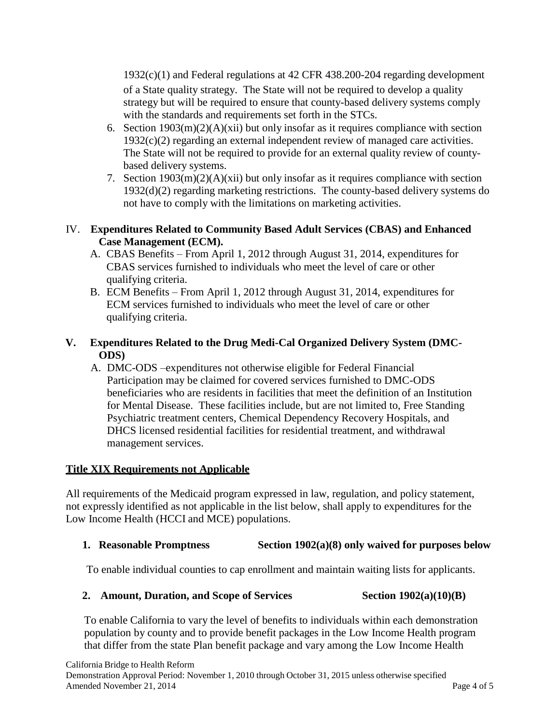1932(c)(1) and Federal regulations at 42 CFR 438.200-204 regarding development of a State quality strategy. The State will not be required to develop a quality strategy but will be required to ensure that county-based delivery systems comply with the standards and requirements set forth in the STCs.

- 6. Section  $1903(m)(2)(A)(xii)$  but only insofar as it requires compliance with section 1932(c)(2) regarding an external independent review of managed care activities. The State will not be required to provide for an external quality review of countybased delivery systems.
- 7. Section 1903(m)(2)(A)(xii) but only insofar as it requires compliance with section 1932(d)(2) regarding marketing restrictions. The county-based delivery systems do not have to comply with the limitations on marketing activities.

## IV. **Expenditures Related to Community Based Adult Services (CBAS) and Enhanced Case Management (ECM).**

- A. CBAS Benefits From April 1, 2012 through August 31, 2014, expenditures for CBAS services furnished to individuals who meet the level of care or other qualifying criteria.
- B. ECM Benefits From April 1, 2012 through August 31, 2014, expenditures for ECM services furnished to individuals who meet the level of care or other qualifying criteria.

## **V. Expenditures Related to the Drug Medi-Cal Organized Delivery System (DMC-ODS)**

A. DMC-ODS –expenditures not otherwise eligible for Federal Financial Participation may be claimed for covered services furnished to DMC-ODS beneficiaries who are residents in facilities that meet the definition of an Institution for Mental Disease. These facilities include, but are not limited to, Free Standing Psychiatric treatment centers, Chemical Dependency Recovery Hospitals, and DHCS licensed residential facilities for residential treatment, and withdrawal management services.

# **Title XIX Requirements not Applicable**

All requirements of the Medicaid program expressed in law, regulation, and policy statement, not expressly identified as not applicable in the list below, shall apply to expenditures for the Low Income Health (HCCI and MCE) populations.

## **1. Reasonable Promptness Section 1902(a)(8) only waived for purposes below**

To enable individual counties to cap enrollment and maintain waiting lists for applicants.

# **2. Amount, Duration, and Scope of Services** Section 1902(a)(10)(B)

To enable California to vary the level of benefits to individuals within each demonstration population by county and to provide benefit packages in the Low Income Health program that differ from the state Plan benefit package and vary among the Low Income Health